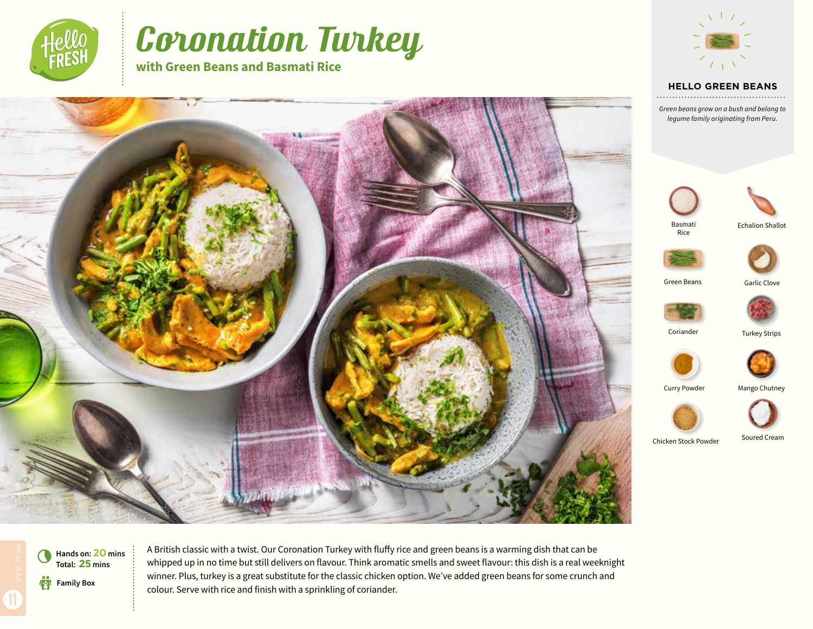

# Coronation Turkey

**with Green Beans and Basmati Rice**



#### **HELLO GREEN BEANS**

*Green beans grow on a bush and belong to legume family originating from Peru.*





Basmati Rice



Garlic Clove

Green Beans



Coriander









Soured Cream

Chicken Stock Powder

**Family Box** 0 **Hands on: 20 mins Total: 25 mins**

A British classic with a twist. Our Coronation Turkey with fluffy rice and green beans is a warming dish that can be whipped up in no time but still delivers on flavour. Think aromatic smells and sweet flavour: this dish is a real weeknight winner. Plus, turkey is a great substitute for the classic chicken option. We've added green beans for some crunch and colour. Serve with rice and finish with a sprinkling of coriander.

11